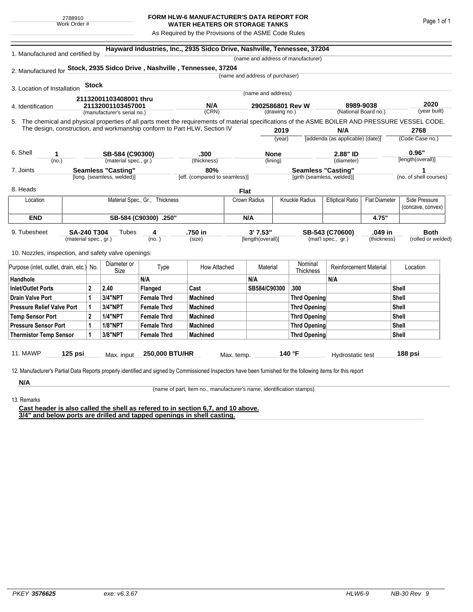## **FORM HLW-6 MANUFACTURER'S DATA REPORT FOR WATER HEATERS OR STORAGE TANKS**

As Required by the Provisions of the ASME Code Rules

| 1. Manufactured and certified by                                                                                                                              |                       |              |                                  |                                | Hayward Industries, Inc., 2935 Sidco Drive, Nashville, Tennessee, 37204 |                           |                                  |                                    |                                   |                      |                      |                        |
|---------------------------------------------------------------------------------------------------------------------------------------------------------------|-----------------------|--------------|----------------------------------|--------------------------------|-------------------------------------------------------------------------|---------------------------|----------------------------------|------------------------------------|-----------------------------------|----------------------|----------------------|------------------------|
|                                                                                                                                                               |                       |              |                                  |                                |                                                                         |                           |                                  | (name and address of manufacturer) |                                   |                      |                      |                        |
| 2. Manufactured for Stock, 2935 Sidco Drive, Nashville, Tennessee, 37204                                                                                      |                       |              |                                  |                                |                                                                         |                           |                                  |                                    |                                   |                      |                      |                        |
|                                                                                                                                                               |                       |              |                                  |                                |                                                                         |                           | (name and address of purchaser)  |                                    |                                   |                      |                      |                        |
| 3. Location of Installation                                                                                                                                   |                       | <b>Stock</b> |                                  |                                |                                                                         |                           |                                  |                                    |                                   |                      |                      |                        |
|                                                                                                                                                               |                       |              | 21132001103408001 thru           |                                | (name and address)                                                      |                           |                                  |                                    |                                   |                      |                      |                        |
| 4. Identification                                                                                                                                             |                       |              | 21132001103457001                |                                | N/A                                                                     |                           | 2902586801 Rev W                 |                                    | 8989-9038<br>(National Board no.) |                      | 2020<br>(year built) |                        |
|                                                                                                                                                               |                       |              | (manufacturer's serial no.)      |                                | (CRN)                                                                   |                           |                                  | (drawing no.)                      |                                   |                      |                      |                        |
| 5. The chemical and physical properties of all parts meet the requirements of material specifications of the ASME BOILER AND PRESSURE VESSEL CODE.            |                       |              |                                  |                                |                                                                         |                           |                                  |                                    |                                   |                      |                      |                        |
| The design, construction, and workmanship conform to Part HLW, Section IV                                                                                     |                       |              |                                  |                                |                                                                         |                           | 2019                             |                                    | N/A                               |                      |                      | 2768                   |
|                                                                                                                                                               |                       |              |                                  |                                | (year)                                                                  |                           | [addenda (as applicable) (date)] |                                    | (Code Case no.)                   |                      |                      |                        |
| 6. Shell<br>1                                                                                                                                                 |                       |              | SB-584 (C90300)                  |                                | .300                                                                    |                           | <b>None</b>                      |                                    | 2.88" ID                          |                      |                      | 0.96"                  |
| (no.)                                                                                                                                                         |                       |              | (material spec., gr.)            |                                | (thickness)                                                             | (diameter)<br>(lining)    |                                  |                                    | [length(overall)]                 |                      |                      |                        |
| 7. Joints                                                                                                                                                     |                       |              | 80%<br><b>Seamless "Casting"</b> |                                |                                                                         | <b>Seamless "Casting"</b> |                                  | 1                                  |                                   |                      |                      |                        |
|                                                                                                                                                               |                       |              | [long. (seamless, welded)]       |                                | [eff. (compared to seamless)]                                           |                           |                                  |                                    | [girth (seamless, welded)]        |                      |                      | (no. of shell courses) |
| 8. Heads                                                                                                                                                      |                       |              |                                  |                                |                                                                         | <b>Flat</b>               |                                  |                                    |                                   |                      |                      |                        |
|                                                                                                                                                               |                       |              |                                  | Material Spec., Gr., Thickness |                                                                         | Crown Radius              |                                  | Knuckle Radius                     | <b>Elliptical Ratio</b>           | <b>Flat Diameter</b> |                      | Side Pressure          |
| Location                                                                                                                                                      |                       |              |                                  |                                |                                                                         |                           |                                  |                                    |                                   |                      | (concave, convex)    |                        |
| <b>END</b>                                                                                                                                                    | SB-584 (C90300) .250" |              |                                  |                                | N/A                                                                     |                           |                                  |                                    |                                   | 4.75"                |                      |                        |
| 9. Tubesheet                                                                                                                                                  | <b>SA-240 T304</b>    |              | Tubes                            | 4                              | .750 in                                                                 |                           | 3' 7.53"                         |                                    | SB-543 (C70600)                   | .049 in              |                      | <b>Both</b>            |
| (material spec., gr.)                                                                                                                                         |                       |              | (no. )                           |                                | (size)                                                                  |                           | [length(overall)]                |                                    | (mat'l spec., gr.)<br>(thickness) |                      |                      | (rolled or welded)     |
|                                                                                                                                                               |                       |              |                                  |                                |                                                                         |                           |                                  |                                    |                                   |                      |                      |                        |
| 10. Nozzles, inspection, and safety valve openings:                                                                                                           |                       |              |                                  |                                |                                                                         |                           |                                  |                                    |                                   |                      |                      |                        |
| Purpose (inlet, outlet, drain, etc.) No.                                                                                                                      |                       | Diameter or  |                                  | Type                           | How Attached                                                            |                           | Material                         | Nominal                            | <b>Reinforcement Material</b>     |                      | Location             |                        |
|                                                                                                                                                               |                       |              | Size                             | N/A                            |                                                                         | N/A                       |                                  | <b>Thickness</b>                   | N/A                               |                      |                      |                        |
| Handhole<br><b>Inlet/Outlet Ports</b>                                                                                                                         |                       | $\mathbf 2$  | 2.40                             | Flanged                        | Cast                                                                    |                           | SB584/C90300                     | .300                               |                                   |                      | Shell                |                        |
| <b>Drain Valve Port</b>                                                                                                                                       |                       | 1            | <b>3/4"NPT</b>                   | <b>Female Thrd</b>             | <b>Machined</b>                                                         |                           |                                  |                                    | <b>Thrd Opening</b>               |                      | Shell                |                        |
| <b>Pressure Relief Valve Port</b>                                                                                                                             |                       | 1            | 3/4"NPT                          | <b>Female Thrd</b>             | <b>Machined</b>                                                         |                           |                                  | <b>Thrd Opening</b>                |                                   | Shell                |                      |                        |
| <b>Temp Sensor Port</b>                                                                                                                                       |                       | $\mathbf 2$  | <b>1/4"NPT</b>                   | <b>Female Thrd</b>             | <b>Machined</b>                                                         |                           |                                  | <b>Thrd Opening</b>                |                                   |                      | Shell                |                        |
| <b>Pressure Sensor Port</b>                                                                                                                                   |                       | 1            | <b>1/8"NPT</b>                   | <b>Female Thrd</b>             | <b>Machined</b>                                                         |                           |                                  | <b>Thrd Opening</b>                |                                   |                      | <b>Shell</b>         |                        |
| <b>Thermistor Temp Sensor</b>                                                                                                                                 |                       | 1            | 3/8"NPT                          | <b>Female Thrd</b>             | <b>Machined</b>                                                         |                           |                                  | <b>Thrd Opening</b>                |                                   |                      | Shell                |                        |
|                                                                                                                                                               |                       |              |                                  |                                |                                                                         |                           |                                  |                                    |                                   |                      |                      |                        |
| <b>11. MAWP</b>                                                                                                                                               | 125 psi               |              | Max. input                       | 250,000 BTU/HR                 |                                                                         | Max. temp.                |                                  | 140 °F                             | Hydrostatic test                  |                      | 188 psi              |                        |
|                                                                                                                                                               |                       |              |                                  |                                |                                                                         |                           |                                  |                                    |                                   |                      |                      |                        |
| 12. Manufacturer's Partial Data Reports properly identified and signed by Commissioned Inspectors have been furnished for the following items for this report |                       |              |                                  |                                |                                                                         |                           |                                  |                                    |                                   |                      |                      |                        |
| N/A                                                                                                                                                           |                       |              |                                  |                                |                                                                         |                           |                                  |                                    |                                   |                      |                      |                        |

13. Remarks

(name of part, item no., manufacturer's name, identification stamps)

**Cast header is also called the shell as refered to in section 6,7, and 10 above. 3/4" and below ports are drilled and tapped openings in shell casting.**